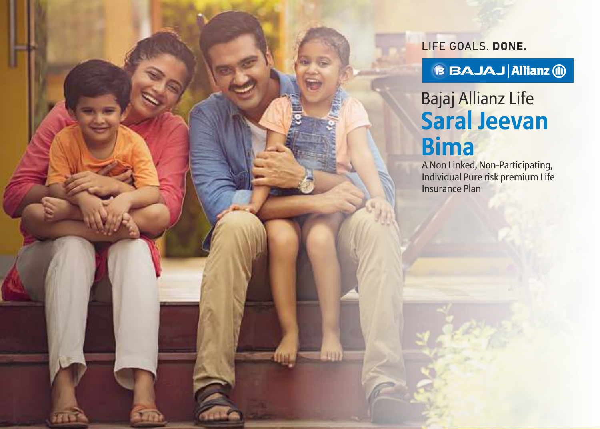LIFE GOALS. DONE.

**BBAJAJ Allianz @** 

Bajaj Allianz Life **Saral Jeevan Bima**

A Non Linked, Non-Participating, Individual Pure risk premium Life Insurance Plan

**TID**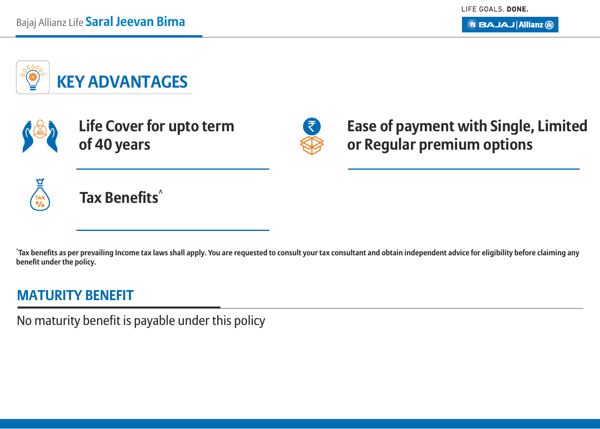

**Life Cover for upto term <sup>40</sup>** ` **of 40 years**



**Ease of payment with Single, Limited or Regular premium options**



**^ Tax Benefits**

**^ Tax benefits as per prevailing Income tax laws shall apply. You are requested to consult your tax consultant and obtain independent advice for eligibility before claiming any benefit under the policy.**

### **MATURITY BENEFIT**

No maturity benefit is payable under this policy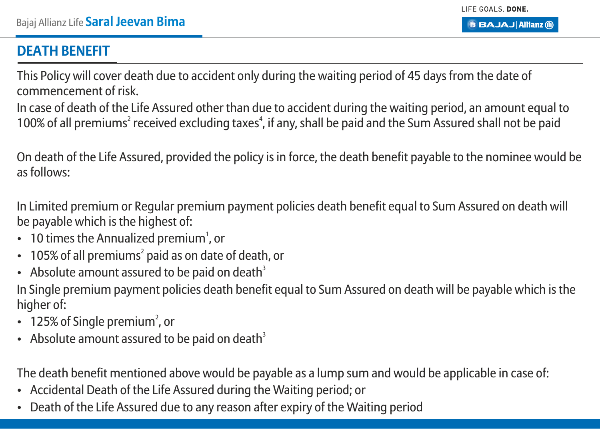## **DEATH BENEFIT**

This Policy will cover death due to accident only during the waiting period of 45 days from the date of commencement of risk.

In case of death of the Life Assured other than due to accident during the waiting period, an amount equal to 100% of all premiums<sup>2</sup> received excluding taxes<sup>4</sup>, if any, shall be paid and the Sum Assured shall not be paid

On death of the Life Assured, provided the policy is in force, the death benefit payable to the nominee would be as follows:

In Limited premium or Regular premium payment policies death benefit equal to Sum Assured on death will be payable which is the highest of:

- 10 times the Annualized premium<sup>1</sup>, or
- $\cdot$  105% of all premiums<sup>2</sup> paid as on date of death, or
- Absolute amount assured to be paid on death<sup>3</sup> In Single premium payment policies death benefit equal to Sum Assured on death will be payable which is the higher of:
- 125% of Single premium<sup>2</sup>, or
- Absolute amount assured to be paid on death<sup>3</sup>

The death benefit mentioned above would be payable as a lump sum and would be applicable in case of:

- Accidental Death of the Life Assured during the Waiting period; or
- Death of the Life Assured due to any reason after expiry of the Waiting period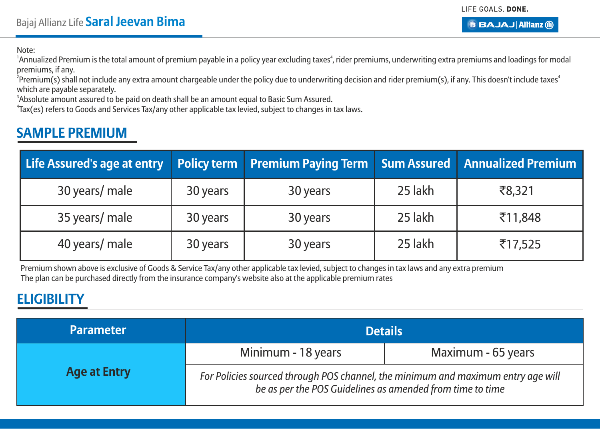Note:

<sup>1</sup>Annualized Premium is the total amount of premium payable in a policy year excluding taxes<sup>4</sup>, rider premiums, underwriting extra premiums and loadings for modal premiums, if any.

 $^2$ Premium(s) shall not include any extra amount chargeable under the policy due to underwriting decision and rider premium(s), if any. This doesn't include taxes $^\ast$ which are payable separately.

<sup>3</sup>Absolute amount assured to be paid on death shall be an amount equal to Basic Sum Assured.

4 Tax(es) refers to Goods and Services Tax/any other applicable tax levied, subject to changes in tax laws.

#### **SAMPLE PREMIUM**

| Life Assured's age at entry |          | Policy term   Premium Paying Term   Sum Assured   Annualized Premium |         |         |
|-----------------------------|----------|----------------------------------------------------------------------|---------|---------|
| 30 years/ male              | 30 years | 30 years                                                             | 25 lakh | ₹8,321  |
| 35 years/ male              | 30 years | 30 years                                                             | 25 lakh | ₹11,848 |
| 40 years/ male              | 30 years | 30 years                                                             | 25 lakh | ₹17,525 |

Premium shown above is exclusive of Goods & Service Tax/any other applicable tax levied, subject to changes in tax laws and any extra premium The plan can be purchased directly from the insurance company's website also at the applicable premium rates

#### **ELIGIBILITY**

| <b>Parameter</b>    | <b>Details</b>                                                                                                                                |                    |  |
|---------------------|-----------------------------------------------------------------------------------------------------------------------------------------------|--------------------|--|
|                     | Minimum - 18 years                                                                                                                            | Maximum - 65 years |  |
| <b>Age at Entry</b> | For Policies sourced through POS channel, the minimum and maximum entry age will<br>be as per the POS Guidelines as amended from time to time |                    |  |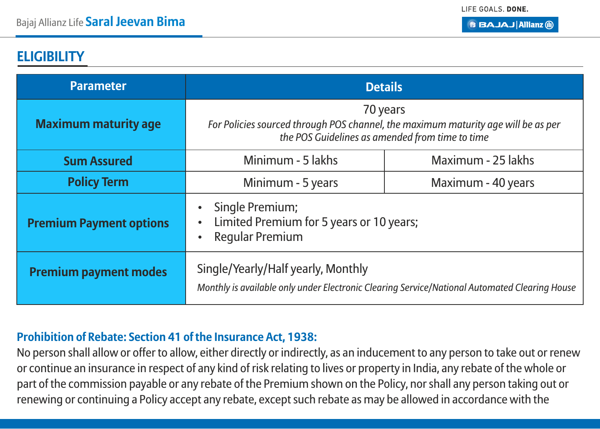#### **ELIGIBILITY**

| <b>Parameter</b>               | <b>Details</b>                                                                                                                                   |                    |  |
|--------------------------------|--------------------------------------------------------------------------------------------------------------------------------------------------|--------------------|--|
| <b>Maximum maturity age</b>    | 70 years<br>For Policies sourced through POS channel, the maximum maturity age will be as per<br>the POS Guidelines as amended from time to time |                    |  |
| <b>Sum Assured</b>             | Minimum - 5 lakhs<br>Maximum - 25 lakhs                                                                                                          |                    |  |
| <b>Policy Term</b>             | Minimum - 5 years                                                                                                                                | Maximum - 40 years |  |
| <b>Premium Payment options</b> | Single Premium;<br>Limited Premium for 5 years or 10 years;<br>Regular Premium                                                                   |                    |  |
| <b>Premium payment modes</b>   | Single/Yearly/Half yearly, Monthly<br>Monthly is available only under Electronic Clearing Service/National Automated Clearing House              |                    |  |

#### **Prohibition of Rebate: Section 41 of the Insurance Act, 1938:**

No person shall allow or offer to allow, either directly or indirectly, as an inducement to any person to take out or renew or continue an insurance in respect of any kind of risk relating to lives or property in India, any rebate of the whole or part of the commission payable or any rebate of the Premium shown on the Policy, nor shall any person taking out or renewing or continuing a Policy accept any rebate, except such rebate as may be allowed in accordance with the